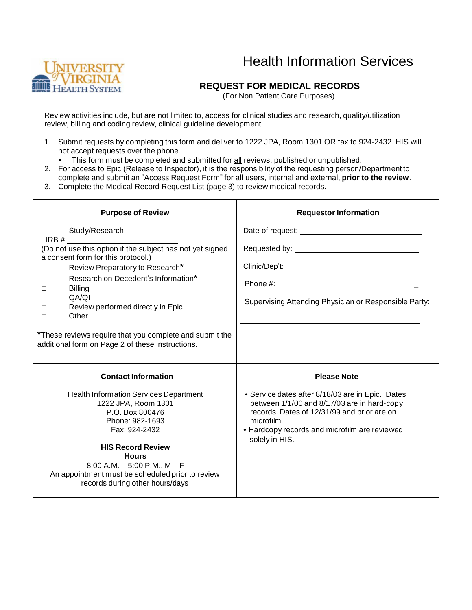# Health Information Services



#### **REQUEST FOR MEDICAL RECORDS**

(For Non Patient Care Purposes)

Review activities include, but are not limited to, access for clinical studies and research, quality/utilization review, billing and coding review, clinical guideline development.

- 1. Submit requests by completing this form and deliver to 1222 JPA, Room 1301 OR fax to 924-2432. HIS will not accept requests over the phone.
	- This form must be completed and submitted for all reviews, published or unpublished.
- 2. For access to Epic (Release to Inspector), it is the responsibility of the requesting person/Department to complete and submit an "Access Request Form" for all users, internal and external, **prior to the review**.
- 3. Complete the Medical Record Request List (page 3) to review medical records.

| <b>Purpose of Review</b>                                                                                                                                                                                                                                                                            | <b>Requestor Information</b>                                                                                                                                                                                                         |  |  |
|-----------------------------------------------------------------------------------------------------------------------------------------------------------------------------------------------------------------------------------------------------------------------------------------------------|--------------------------------------------------------------------------------------------------------------------------------------------------------------------------------------------------------------------------------------|--|--|
| Study/Research<br>П.                                                                                                                                                                                                                                                                                | Date of request: <u>contract and the set of the set of the set of the set of the set of the set of the set of the set of the set of the set of the set of the set of the set of the set of the set of the set of the set of the </u> |  |  |
| (Do not use this option if the subject has not yet signed<br>a consent form for this protocol.)<br>Review Preparatory to Research*<br>$\Box$<br>Research on Decedent's Information*<br>П<br><b>Billing</b><br>П<br>QA/QI<br>П<br>Review performed directly in Epic<br>П<br>П                        | Supervising Attending Physician or Responsible Party:                                                                                                                                                                                |  |  |
| *These reviews require that you complete and submit the<br>additional form on Page 2 of these instructions.                                                                                                                                                                                         |                                                                                                                                                                                                                                      |  |  |
| <b>Contact Information</b>                                                                                                                                                                                                                                                                          | <b>Please Note</b>                                                                                                                                                                                                                   |  |  |
| <b>Health Information Services Department</b><br>1222 JPA, Room 1301<br>P.O. Box 800476<br>Phone: 982-1693<br>Fax: 924-2432<br><b>HIS Record Review</b><br><b>Hours</b><br>$8:00$ A.M. $-5:00$ P.M., M $-$ F<br>An appointment must be scheduled prior to review<br>records during other hours/days | • Service dates after 8/18/03 are in Epic. Dates<br>between 1/1/00 and 8/17/03 are in hard-copy<br>records. Dates of 12/31/99 and prior are on<br>microfilm.<br>• Hardcopy records and microfilm are reviewed<br>solely in HIS.      |  |  |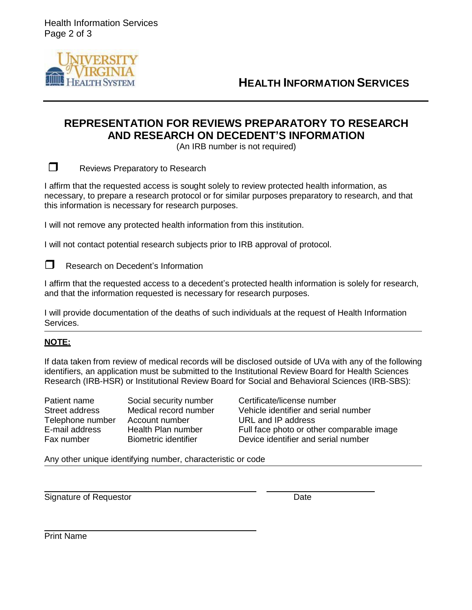Health Information Services Page 2 of 3



**HEALTH INFORMATION SERVICES**

### **REPRESENTATION FOR REVIEWS PREPARATORY TO RESEARCH AND RESEARCH ON DECEDENT'S INFORMATION**

(An IRB number is not required)

Reviews Preparatory to Research

I affirm that the requested access is sought solely to review protected health information, as necessary, to prepare a research protocol or for similar purposes preparatory to research, and that this information is necessary for research purposes.

I will not remove any protected health information from this institution.

I will not contact potential research subjects prior to IRB approval of protocol.

 $\Box$  Research on Decedent's Information

I affirm that the requested access to a decedent's protected health information is solely for research, and that the information requested is necessary for research purposes.

I will provide documentation of the deaths of such individuals at the request of Health Information Services.

#### **NOTE:**

If data taken from review of medical records will be disclosed outside of UVa with any of the following identifiers, an application must be submitted to the Institutional Review Board for Health Sciences Research (IRB-HSR) or Institutional Review Board for Social and Behavioral Sciences (IRB-SBS):

Telephone number Account number URL and IP address

Patient name Social security number Certificate/license number Street address Medical record number Vehicle identifier and serial number E-mail address Health Plan number Full face photo or other comparable image Fax number Biometric identifier Device identifier and serial number

Any other unique identifying number, characteristic or code

Signature of Requestor **Date** 

Print Name